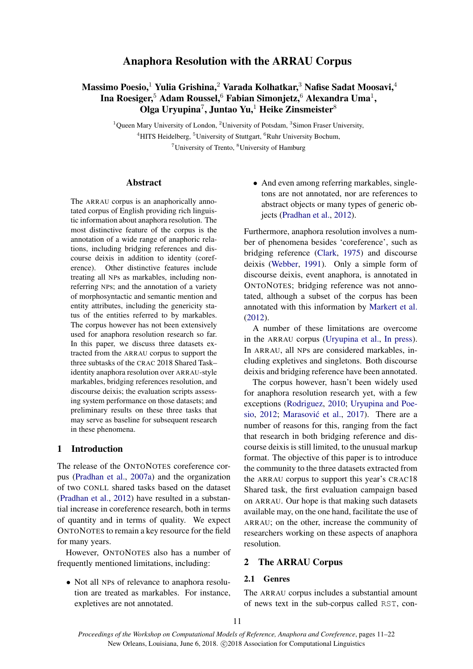## Anaphora Resolution with the ARRAU Corpus

## Massimo Poesio,<sup>1</sup> Yulia Grishina,<sup>2</sup> Varada Kolhatkar,<sup>3</sup> Nafise Sadat Moosavi,<sup>4</sup> Ina Roesiger, $^5$  Adam Roussel, $^6$  Fabian Simonjetz, $^6$  Alexandra Uma $^1,\,$ Olga Uryupina<sup>7</sup>, Juntao Yu,<sup>1</sup> Heike Zinsmeister ${}^8$

<sup>1</sup>Queen Mary University of London, <sup>2</sup>University of Potsdam, <sup>3</sup>Simon Fraser University,  $4$ HITS Heidelberg,  $5$ University of Stuttgart,  $6$ Ruhr University Bochum,  $7$ University of Trento,  $8$ University of Hamburg

#### Abstract

The ARRAU corpus is an anaphorically annotated corpus of English providing rich linguistic information about anaphora resolution. The most distinctive feature of the corpus is the annotation of a wide range of anaphoric relations, including bridging references and discourse deixis in addition to identity (coreference). Other distinctive features include treating all NPs as markables, including nonreferring NPs; and the annotation of a variety of morphosyntactic and semantic mention and entity attributes, including the genericity status of the entities referred to by markables. The corpus however has not been extensively used for anaphora resolution research so far. In this paper, we discuss three datasets extracted from the ARRAU corpus to support the three subtasks of the CRAC 2018 Shared Task– identity anaphora resolution over ARRAU-style markables, bridging references resolution, and discourse deixis; the evaluation scripts assessing system performance on those datasets; and preliminary results on these three tasks that may serve as baseline for subsequent research in these phenomena.

## 1 Introduction

The release of the ONTONOTES coreference corpus (Pradhan et al., 2007a) and the organization of two CONLL shared tasks based on the dataset (Pradhan et al., 2012) have resulted in a substantial increase in coreference research, both in terms of quantity and in terms of quality. We expect ONTONOTES to remain a key resource for the field for many years.

However, ONTONOTES also has a number of frequently mentioned limitations, including:

• Not all NPs of relevance to anaphora resolution are treated as markables. For instance, expletives are not annotated.

• And even among referring markables, singletons are not annotated, nor are references to abstract objects or many types of generic objects (Pradhan et al., 2012).

Furthermore, anaphora resolution involves a number of phenomena besides 'coreference', such as bridging reference (Clark, 1975) and discourse deixis (Webber, 1991). Only a simple form of discourse deixis, event anaphora, is annotated in ONTONOTES; bridging reference was not annotated, although a subset of the corpus has been annotated with this information by Markert et al. (2012).

A number of these limitations are overcome in the ARRAU corpus (Uryupina et al., In press). In ARRAU, all NPs are considered markables, including expletives and singletons. Both discourse deixis and bridging reference have been annotated.

The corpus however, hasn't been widely used for anaphora resolution research yet, with a few exceptions (Rodriguez, 2010; Uryupina and Poesio, 2012; Marasović et al., 2017). There are a number of reasons for this, ranging from the fact that research in both bridging reference and discourse deixis is still limited, to the unusual markup format. The objective of this paper is to introduce the community to the three datasets extracted from the ARRAU corpus to support this year's CRAC18 Shared task, the first evaluation campaign based on ARRAU. Our hope is that making such datasets available may, on the one hand, facilitate the use of ARRAU; on the other, increase the community of researchers working on these aspects of anaphora resolution.

## 2 The ARRAU Corpus

## 2.1 Genres

The ARRAU corpus includes a substantial amount of news text in the sub-corpus called RST, con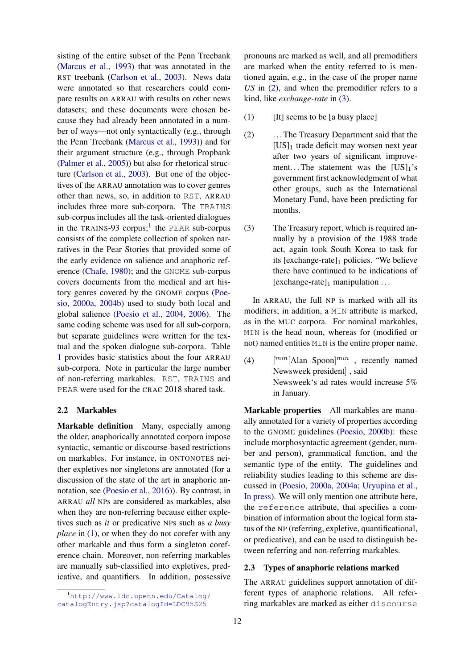sisting of the entire subset of the Penn Treebank (Marcus et al., 1993) that was annotated in the RST treebank (Carlson et al., 2003). News data were annotated so that researchers could compare results on ARRAU with results on other news datasets; and these documents were chosen because they had already been annotated in a number of ways—not only syntactically (e.g., through the Penn Treebank (Marcus et al., 1993)) and for their argument structure (e.g., through Propbank (Palmer et al., 2005)) but also for rhetorical structure (Carlson et al., 2003). But one of the objectives of the ARRAU annotation was to cover genres other than news, so, in addition to RST, ARRAU includes three more sub-corpora. The TRAINS sub-corpus includes all the task-oriented dialogues in the TRAINS-93 corpus;<sup>1</sup> the PEAR sub-corpus consists of the complete collection of spoken narratives in the Pear Stories that provided some of the early evidence on salience and anaphoric reference (Chafe, 1980); and the GNOME sub-corpus covers documents from the medical and art history genres covered by the GNOME corpus (Poesio, 2000a, 2004b) used to study both local and global salience (Poesio et al., 2004, 2006). The same coding scheme was used for all sub-corpora, but separate guidelines were written for the textual and the spoken dialogue sub-corpora. Table 1 provides basic statistics about the four ARRAU sub-corpora. Note in particular the large number of non-referring markables. RST, TRAINS and PEAR were used for the CRAC 2018 shared task.

## 2.2 Markables

Markable definition Many, especially among the older, anaphorically annotated corpora impose syntactic, semantic or discourse-based restrictions on markables. For instance, in ONTONOTES neither expletives nor singletons are annotated (for a discussion of the state of the art in anaphoric annotation, see (Poesio et al., 2016)). By contrast, in ARRAU *all* NPs are considered as markables, also when they are non-referring because either expletives such as *it* or predicative NPs such as *a busy place* in (1), or when they do not corefer with any other markable and thus form a singleton coreference chain. Moreover, non-referring markables are manually sub-classified into expletives, predicative, and quantifiers. In addition, possessive pronouns are marked as well, and all premodifiers are marked when the entity referred to is mentioned again, e.g., in the case of the proper name *US* in (2), and when the premodifier refers to a kind, like *exchange-rate* in (3).

- (1)  $[It] seems to be [a busy place]$
- (2) . . . The Treasury Department said that the  $[US]_1$  trade deficit may worsen next year after two years of significant improvement... The statement was the  $[US]_1$ 's government first acknowledgment of what other groups, such as the International Monetary Fund, have been predicting for months.
- (3) The Treasury report, which is required annually by a provision of the 1988 trade act, again took South Korea to task for its  $[exchange-rate]_1$  policies. "We believe there have continued to be indications of [exchange-rate] $_1$  manipulation ...

In ARRAU, the full NP is marked with all its modifiers; in addition, a MIN attribute is marked, as in the MUC corpora. For nominal markables, MIN is the head noun, whereas for (modified or not) named entities MIN is the entire proper name.

 $(4)$  $\binom{min}{1}$  Alan Spoon $\binom{min}{1}$ , recently named Newsweek president] , said Newsweek's ad rates would increase 5% in January.

Markable properties All markables are manually annotated for a variety of properties according to the GNOME guidelines (Poesio, 2000b): these include morphosyntactic agreement (gender, number and person), grammatical function, and the semantic type of the entity. The guidelines and reliability studies leading to this scheme are discussed in (Poesio, 2000a, 2004a; Uryupina et al., In press). We will only mention one attribute here, the reference attribute, that specifies a combination of information about the logical form status of the NP (referring, expletive, quantificational, or predicative), and can be used to distinguish between referring and non-referring markables.

## 2.3 Types of anaphoric relations marked

The ARRAU guidelines support annotation of different types of anaphoric relations. All referring markables are marked as either discourse

<sup>1</sup>http://www.ldc.upenn.edu/Catalog/ catalogEntry.jsp?catalogId=LDC95S25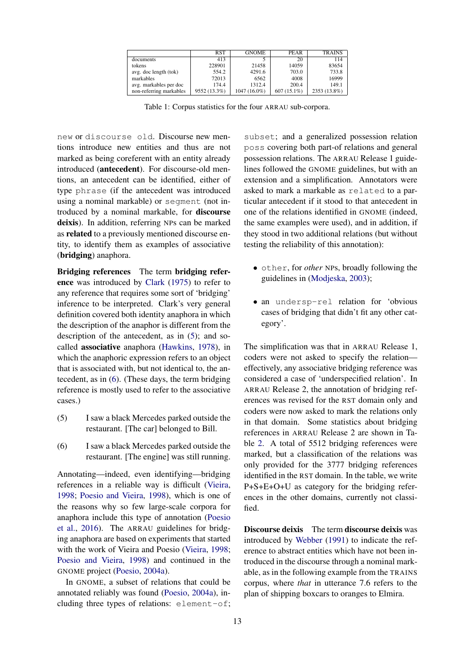|                         | <b>RST</b>   | <b>GNOME</b>   | <b>PEAR</b>   | <b>TRAINS</b> |
|-------------------------|--------------|----------------|---------------|---------------|
| documents               | 413          |                | 20            | 114           |
| tokens                  | 228901       | 21458          | 14059         | 83654         |
| avg. doc length (tok)   | 554.2        | 4291.6         | 703.0         | 733.8         |
| markables               | 72013        | 6562           | 4008          | 16999         |
| avg. markables per doc  | 174.4        | 1312.4         | 200.4         | 149.1         |
| non-referring markables | 9552 (13.3%) | $1047(16.0\%)$ | $607(15.1\%)$ | 2353 (13.8%)  |

Table 1: Corpus statistics for the four ARRAU sub-corpora.

new or discourse old. Discourse new mentions introduce new entities and thus are not marked as being coreferent with an entity already introduced (antecedent). For discourse-old mentions, an antecedent can be identified, either of type phrase (if the antecedent was introduced using a nominal markable) or segment (not introduced by a nominal markable, for discourse deixis). In addition, referring NPs can be marked as related to a previously mentioned discourse entity, to identify them as examples of associative (bridging) anaphora.

Bridging references The term bridging reference was introduced by Clark (1975) to refer to any reference that requires some sort of 'bridging' inference to be interpreted. Clark's very general definition covered both identity anaphora in which the description of the anaphor is different from the description of the antecedent, as in (5); and socalled associative anaphora (Hawkins, 1978), in which the anaphoric expression refers to an object that is associated with, but not identical to, the antecedent, as in (6). (These days, the term bridging reference is mostly used to refer to the associative cases.)

- (5) I saw a black Mercedes parked outside the restaurant. [The car] belonged to Bill.
- (6) I saw a black Mercedes parked outside the restaurant. [The engine] was still running.

Annotating—indeed, even identifying—bridging references in a reliable way is difficult (Vieira, 1998; Poesio and Vieira, 1998), which is one of the reasons why so few large-scale corpora for anaphora include this type of annotation (Poesio et al., 2016). The ARRAU guidelines for bridging anaphora are based on experiments that started with the work of Vieira and Poesio (Vieira, 1998; Poesio and Vieira, 1998) and continued in the GNOME project (Poesio, 2004a).

In GNOME, a subset of relations that could be annotated reliably was found (Poesio, 2004a), including three types of relations: element-of;

subset; and a generalized possession relation poss covering both part-of relations and general possession relations. The ARRAU Release 1 guidelines followed the GNOME guidelines, but with an extension and a simplification. Annotators were asked to mark a markable as related to a particular antecedent if it stood to that antecedent in one of the relations identified in GNOME (indeed, the same examples were used), and in addition, if they stood in two additional relations (but without testing the reliability of this annotation):

- other, for *other* NPs, broadly following the guidelines in (Modjeska, 2003);
- an undersp-rel relation for 'obvious cases of bridging that didn't fit any other category'.

The simplification was that in ARRAU Release 1, coders were not asked to specify the relation effectively, any associative bridging reference was considered a case of 'underspecified relation'. In ARRAU Release 2, the annotation of bridging references was revised for the RST domain only and coders were now asked to mark the relations only in that domain. Some statistics about bridging references in ARRAU Release 2 are shown in Table 2. A total of 5512 bridging references were marked, but a classification of the relations was only provided for the 3777 bridging references identified in the RST domain. In the table, we write P+S+E+O+U as category for the bridging references in the other domains, currently not classified.

Discourse deixis The term discourse deixis was introduced by Webber (1991) to indicate the reference to abstract entities which have not been introduced in the discourse through a nominal markable, as in the following example from the TRAINS corpus, where *that* in utterance 7.6 refers to the plan of shipping boxcars to oranges to Elmira.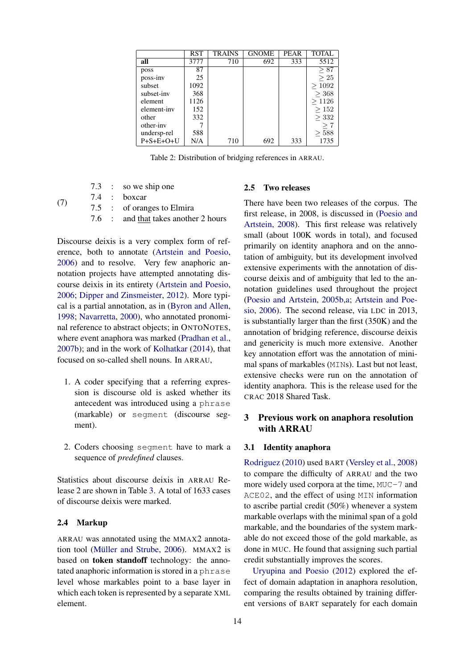|                     | <b>RST</b> | TRAINS | <b>GNOME</b> | <b>PEAR</b> | <b>TOTAL</b> |
|---------------------|------------|--------|--------------|-------------|--------------|
| all                 | 3777       | 710    | 692          | 333         | 5512         |
| poss                | 87         |        |              |             | $\geq 87$    |
| poss-inv            | 25         |        |              |             | $\geq 25$    |
| subset              | 1092       |        |              |             | >1092        |
| subset-inv          | 368        |        |              |             | > 368        |
| element             | 1126       |        |              |             | >1126        |
| element-inv         | 152        |        |              |             | >152         |
| other               | 332        |        |              |             | > 332        |
| other-inv           |            |        |              |             | $\rm{ > 7}$  |
| undersp-rel         | 588        |        |              |             | > 588        |
| $P + S + E + O + U$ | N/A        | 710    | 692          | 333         | 1735         |

Table 2: Distribution of bridging references in ARRAU.

|  | 7.3 : so we ship one                 |
|--|--------------------------------------|
|  | 7.4 : boxcar                         |
|  | 7.5 : of oranges to Elmira           |
|  | 7.6 : and that takes another 2 hours |

Discourse deixis is a very complex form of reference, both to annotate (Artstein and Poesio, 2006) and to resolve. Very few anaphoric annotation projects have attempted annotating discourse deixis in its entirety (Artstein and Poesio, 2006; Dipper and Zinsmeister, 2012). More typical is a partial annotation, as in (Byron and Allen, 1998; Navarretta, 2000), who annotated pronominal reference to abstract objects; in ONTONOTES, where event anaphora was marked (Pradhan et al., 2007b); and in the work of Kolhatkar (2014), that focused on so-called shell nouns. In ARRAU,

- 1. A coder specifying that a referring expression is discourse old is asked whether its antecedent was introduced using a phrase (markable) or segment (discourse segment).
- 2. Coders choosing segment have to mark a sequence of *predefined* clauses.

Statistics about discourse deixis in ARRAU Release 2 are shown in Table 3. A total of 1633 cases of discourse deixis were marked.

## 2.4 Markup

(7)

ARRAU was annotated using the MMAX2 annotation tool (Müller and Strube,  $2006$ ). MMAX2 is based on token standoff technology: the annotated anaphoric information is stored in a phrase level whose markables point to a base layer in which each token is represented by a separate XML element.

#### 2.5 Two releases

There have been two releases of the corpus. The first release, in 2008, is discussed in (Poesio and Artstein, 2008). This first release was relatively small (about 100K words in total), and focused primarily on identity anaphora and on the annotation of ambiguity, but its development involved extensive experiments with the annotation of discourse deixis and of ambiguity that led to the annotation guidelines used throughout the project (Poesio and Artstein, 2005b,a; Artstein and Poesio, 2006). The second release, via LDC in 2013, is substantially larger than the first (350K) and the annotation of bridging reference, discourse deixis and genericity is much more extensive. Another key annotation effort was the annotation of minimal spans of markables (MINs). Last but not least, extensive checks were run on the annotation of identity anaphora. This is the release used for the CRAC 2018 Shared Task.

## 3 Previous work on anaphora resolution with ARRAU

#### 3.1 Identity anaphora

Rodriguez (2010) used BART (Versley et al., 2008) to compare the difficulty of ARRAU and the two more widely used corpora at the time, MUC-7 and ACE02, and the effect of using MIN information to ascribe partial credit (50%) whenever a system markable overlaps with the minimal span of a gold markable, and the boundaries of the system markable do not exceed those of the gold markable, as done in MUC. He found that assigning such partial credit substantially improves the scores.

Uryupina and Poesio (2012) explored the effect of domain adaptation in anaphora resolution, comparing the results obtained by training different versions of BART separately for each domain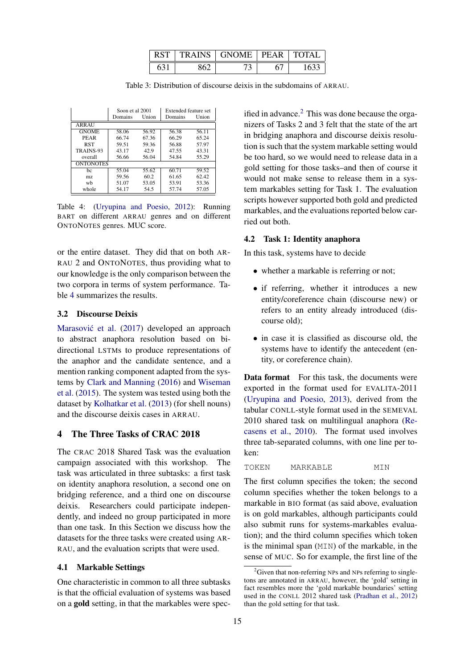| RST | TRAINS GNOME PEAR | $\perp$ TOTAL |
|-----|-------------------|---------------|
|     |                   |               |

Table 3: Distribution of discourse deixis in the subdomains of ARRAU.

|                  | Soon et al 2001 |       | Extended feature set |       |
|------------------|-----------------|-------|----------------------|-------|
|                  | Domains         | Union | Domains              | Union |
| ARRAU            |                 |       |                      |       |
| <b>GNOME</b>     | 58.06           | 56.92 | 56.38                | 56.11 |
| PEAR             | 66.74           | 67.36 | 66.29                | 65.24 |
| <b>RST</b>       | 59.51           | 59.36 | 56.88                | 57.97 |
| TRAINS-93        | 43.17           | 42.9  | 47.55                | 43.31 |
| overall          | 56.66           | 56.04 | 54.84                | 55.29 |
| <b>ONTONOTES</b> |                 |       |                      |       |
| bc               | 55.04           | 55.62 | 60.71                | 59.52 |
| mz.              | 59.56           | 60.2  | 61.65                | 62.42 |
| wh               | 51.07           | 53.05 | 53.91                | 53.36 |
| whole            | 54.17           | 54.5  | 57.74                | 57.05 |

Table 4: (Uryupina and Poesio, 2012): Running BART on different ARRAU genres and on different ONTONOTES genres. MUC score.

or the entire dataset. They did that on both AR-RAU 2 and ONTONOTES, thus providing what to our knowledge is the only comparison between the two corpora in terms of system performance. Table 4 summarizes the results.

## 3.2 Discourse Deixis

Marasović et al. (2017) developed an approach to abstract anaphora resolution based on bidirectional LSTMs to produce representations of the anaphor and the candidate sentence, and a mention ranking component adapted from the systems by Clark and Manning (2016) and Wiseman et al. (2015). The system was tested using both the dataset by Kolhatkar et al. (2013) (for shell nouns) and the discourse deixis cases in ARRAU.

## 4 The Three Tasks of CRAC 2018

The CRAC 2018 Shared Task was the evaluation campaign associated with this workshop. The task was articulated in three subtasks: a first task on identity anaphora resolution, a second one on bridging reference, and a third one on discourse deixis. Researchers could participate independently, and indeed no group participated in more than one task. In this Section we discuss how the datasets for the three tasks were created using AR-RAU, and the evaluation scripts that were used.

#### 4.1 Markable Settings

One characteristic in common to all three subtasks is that the official evaluation of systems was based on a gold setting, in that the markables were specified in advance.<sup>2</sup> This was done because the organizers of Tasks 2 and 3 felt that the state of the art in bridging anaphora and discourse deixis resolution is such that the system markable setting would be too hard, so we would need to release data in a gold setting for those tasks–and then of course it would not make sense to release them in a system markables setting for Task 1. The evaluation scripts however supported both gold and predicted markables, and the evaluations reported below carried out both.

#### 4.2 Task 1: Identity anaphora

In this task, systems have to decide

- whether a markable is referring or not;
- if referring, whether it introduces a new entity/coreference chain (discourse new) or refers to an entity already introduced (discourse old);
- in case it is classified as discourse old, the systems have to identify the antecedent (entity, or coreference chain).

Data format For this task, the documents were exported in the format used for EVALITA-2011 (Uryupina and Poesio, 2013), derived from the tabular CONLL-style format used in the SEMEVAL 2010 shared task on multilingual anaphora (Recasens et al., 2010). The format used involves three tab-separated columns, with one line per token:

TOKEN MARKABLE MIN

The first column specifies the token; the second column specifies whether the token belongs to a markable in BIO format (as said above, evaluation is on gold markables, although participants could also submit runs for systems-markables evaluation); and the third column specifies which token is the minimal span (MIN) of the markable, in the sense of MUC. So for example, the first line of the

 ${}^{2}$ Given that non-referring NPs and NPs referring to singletons are annotated in ARRAU, however, the 'gold' setting in fact resembles more the 'gold markable boundaries' setting used in the CONLL 2012 shared task (Pradhan et al., 2012) than the gold setting for that task.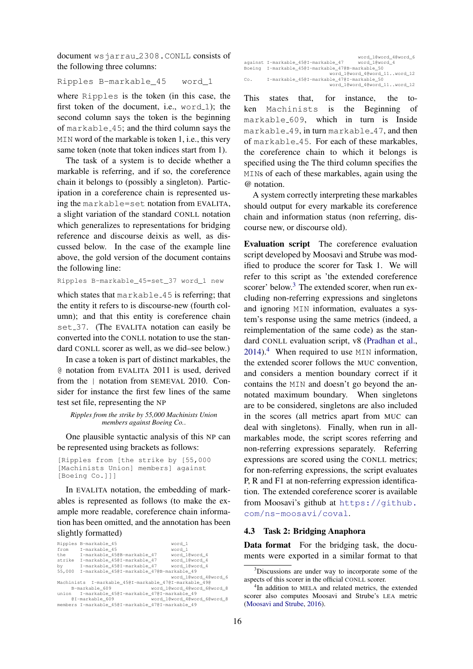document wsjarrau 2308.CONLL consists of the following three columns:

Ripples B-markable\_45 word\_1

where Ripples is the token (in this case, the first token of the document, i.e.,  $word_1$ ; the second column says the token is the beginning of markable 45; and the third column says the MIN word of the markable is token 1, i.e., this very same token (note that token indices start from 1).

The task of a system is to decide whether a markable is referring, and if so, the coreference chain it belongs to (possibly a singleton). Participation in a coreference chain is represented using the markable=set notation from EVALITA, a slight variation of the standard CONLL notation which generalizes to representations for bridging reference and discourse deixis as well, as discussed below. In the case of the example line above, the gold version of the document contains the following line:

Ripples B-markable\_45=set\_37 word\_1 new

which states that markable 45 is referring; that the entity it refers to is discourse-new (fourth column); and that this entity is coreference chain set 37. (The EVALITA notation can easily be converted into the CONLL notation to use the standard CONLL scorer as well, as we did–see below.)

In case a token is part of distinct markables, the @ notation from EVALITA 2011 is used, derived from the | notation from SEMEVAL 2010. Consider for instance the first few lines of the same test set file, representing the NP

*Ripples from the strike by 55,000 Machinists Union members against Boeing Co.*.

One plausible syntactic analysis of this NP can be represented using brackets as follows:

```
[Ripples from [the strike by [55,000
[Machinists Union] members] against
[Boeing Co.]]]
```
In EVALITA notation, the embedding of markables is represented as follows (to make the example more readable, coreference chain information has been omitted, and the annotation has been slightly formatted)

|        | Ripples B-markable 45                                 | word 1                      |
|--------|-------------------------------------------------------|-----------------------------|
|        | from I-markable 45                                    | word 1                      |
| the    | I-markable 45@B-markable 47                           | word 1@word 4               |
|        | strike I-markable 45@I-markable 47                    | word 1@word 4               |
| by     | I-markable 45@I-markable 47 word 1@word 4             |                             |
| 55,000 | I-markable 45@I-markable 47@B-markable 49             |                             |
|        |                                                       | word 1@word 4@word 6        |
|        | Machinists I-markable 45@I-markable 47@I-markable 49@ |                             |
|        | B-markable 609                                        | word 1@word 4@word 6@word 8 |
|        | union I-markable 45@I-markable 47@I-markable 49       |                             |
|        | @I-markable 609                                       | word 1@word 4@word 6@word 8 |
|        | members I-markable 45@I-markable 47@I-markable 49     |                             |

|     |                                                  | word 1@word 4@word 6         |
|-----|--------------------------------------------------|------------------------------|
|     | against I-markable 450I-markable 47              | word 1@word 4                |
|     | Boeing I-markable 45@I-markable 47@B-markable 50 |                              |
|     |                                                  | word 1@word 4@word 11word 12 |
| Co. | I-markable 450I-markable 470I-markable 50        |                              |
|     |                                                  | word 1@word 4@word 11word 12 |

This states that, for instance, the token Machinists is the Beginning of markable 609, which in turn is Inside markable 49, in turn markable 47, and then of markable 45. For each of these markables, the coreference chain to which it belongs is specified using the The third column specifies the MINs of each of these markables, again using the @ notation.

A system correctly interpreting these markables should output for every markable its coreference chain and information status (non referring, discourse new, or discourse old).

Evaluation script The coreference evaluation script developed by Moosavi and Strube was modified to produce the scorer for Task 1. We will refer to this script as 'the extended coreference scorer' below. $3$  The extended scorer, when run excluding non-referring expressions and singletons and ignoring MIN information, evaluates a system's response using the same metrics (indeed, a reimplementation of the same code) as the standard CONLL evaluation script, v8 (Pradhan et al.,  $2014$ .<sup>4</sup> When required to use MIN information, the extended scorer follows the MUC convention, and considers a mention boundary correct if it contains the MIN and doesn't go beyond the annotated maximum boundary. When singletons are to be considered, singletons are also included in the scores (all metrics apart from MUC can deal with singletons). Finally, when run in allmarkables mode, the script scores referring and non-referring expressions separately. Referring expressions are scored using the CONLL metrics; for non-referring expressions, the script evaluates P, R and F1 at non-referring expression identification. The extended coreference scorer is available from Moosavi's github at https://github. com/ns-moosavi/coval.

## 4.3 Task 2: Bridging Anaphora

Data format For the bridging task, the documents were exported in a similar format to that

 $3$ Discussions are under way to incorporate some of the aspects of this scorer in the official CONLL scorer.

<sup>&</sup>lt;sup>4</sup>In addition to MELA and related metrics, the extended scorer also computes Moosavi and Strube's LEA metric (Moosavi and Strube, 2016).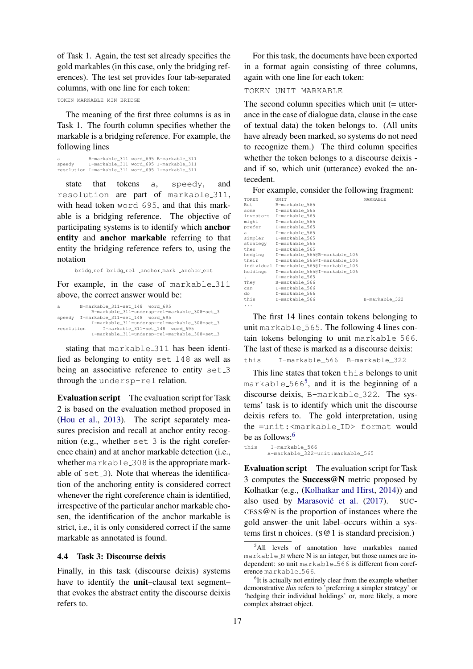of Task 1. Again, the test set already specifies the gold markables (in this case, only the bridging references). The test set provides four tab-separated columns, with one line for each token:

TOKEN MARKABLE MIN BRIDGE

The meaning of the first three columns is as in Task 1. The fourth column specifies whether the markable is a bridging reference. For example, the following lines

```
a B-markable_311 word_695 B-markable_311
speedy I-markable_311 word_695 I-markable_311
resolution I-markable_311 word_695 I-markable_311
```
state that tokens a, speedy, and resolution are part of markable 311, with head token word 695, and that this markable is a bridging reference. The objective of participating systems is to identify which anchor entity and anchor markable referring to that entity the bridging reference refers to, using the notation

bridg ref=bridg rel= anchor mark= anchor ent

For example, in the case of markable 311 above, the correct answer would be:

```
a B-markable_311=set_148 word_695
             B-markable_311=undersp-rel=markable_308=set_3
speedy I-markable_311=set_148 word_695
I-markable_311=undersp-rel=markable_308=set_3
resolution I-markable_311=set_148 word_695
             I-markable_311=undersp-rel=markable_308=set_3
```
stating that markable 311 has been identified as belonging to entity set 148 as well as being an associative reference to entity set\_3 through the undersp-rel relation.

Evaluation script The evaluation script for Task 2 is based on the evaluation method proposed in (Hou et al., 2013). The script separately measures precision and recall at anchor entity recognition (e.g., whether  $set_3$  is the right coreference chain) and at anchor markable detection (i.e., whether markable 308 is the appropriate markable of set \_3). Note that whereas the identification of the anchoring entity is considered correct whenever the right coreference chain is identified, irrespective of the particular anchor markable chosen, the identification of the anchor markable is strict, i.e., it is only considered correct if the same markable as annotated is found.

#### 4.4 Task 3: Discourse deixis

Finally, in this task (discourse deixis) systems have to identify the **unit**–clausal text segment– that evokes the abstract entity the discourse deixis refers to.

For this task, the documents have been exported in a format again consisting of three columns, again with one line for each token:

TOKEN UNIT MARKABLE

The second column specifies which unit (= utterance in the case of dialogue data, clause in the case of textual data) the token belongs to. (All units have already been marked, so systems do not need to recognize them.) The third column specifies whether the token belongs to a discourse deixis and if so, which unit (utterance) evoked the antecedent.

For example, consider the following fragment:

| TOKEN    | UNIT                                     | MARKABLE       |  |
|----------|------------------------------------------|----------------|--|
| But      | B-markable 565                           |                |  |
| some     | I-markable 565                           |                |  |
|          | investors I-markable 565                 |                |  |
| might    | I-markable 565                           |                |  |
| prefer   | I-markable 565                           |                |  |
| a        | I-markable 565                           |                |  |
|          | simpler I-markable 565                   |                |  |
|          | strategy I-markable_565                  |                |  |
| then     | I-markable 565                           |                |  |
|          | hedging I-markable 565@B-markable 106    |                |  |
| their    | I-markable 565@I-markable 106            |                |  |
|          | individual I-markable 565@I-markable 106 |                |  |
| holdings | I-markable 5650I-markable 106            |                |  |
|          | I-markable 565                           |                |  |
| They     | B-markable 566                           |                |  |
| can      | I-markable 566                           |                |  |
| do       | I-markable 566                           |                |  |
| this     | I-markable 566                           | B-markable 322 |  |
| .        |                                          |                |  |

The first 14 lines contain tokens belonging to unit markable 565. The following 4 lines contain tokens belonging to unit markable 566. The last of these is marked as a discourse deixis: this I-markable\_566 B-markable\_322

This line states that token this belongs to unit markable 566<sup>5</sup> , and it is the beginning of a discourse deixis, B-markable 322. The systems' task is to identify which unit the discourse deixis refers to. The gold interpretation, using the =unit:<markable ID> format would be as follows:<sup>6</sup>

```
this I-markable_566
      B-markable_322=unit:markable_565
```
Evaluation script The evaluation script for Task 3 computes the Success@N metric proposed by Kolhatkar (e.g., (Kolhatkar and Hirst, 2014)) and also used by Marasović et al. (2017). SUC- $CESS@N$  is the proportion of instances where the gold answer–the unit label–occurs within a systems first n choices.  $(S@1$  is standard precision.)

<sup>5</sup>All levels of annotation have markables named  $markable_N$  where N is an integer, but those names are independent: so unit markable 566 is different from coreference markable<sub>-566</sub>.

<sup>&</sup>lt;sup>6</sup>It is actually not entirely clear from the example whether demonstrative *this* refers to 'preferring a simpler strategy' or 'hedging their individual holdings' or, more likely, a more complex abstract object.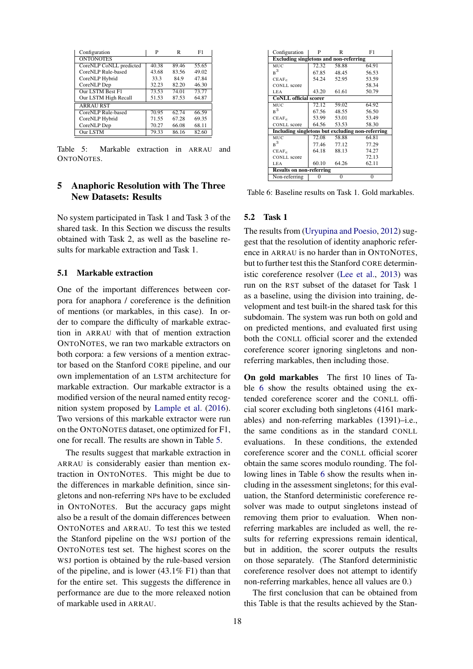| Configuration           | P     | R     | F1    |
|-------------------------|-------|-------|-------|
| <b>ONTONOTES</b>        |       |       |       |
| CoreNLP CoNLL predicted | 40.38 | 89.46 | 55.65 |
| CoreNLP Rule-based      | 43.68 | 83.56 | 49.02 |
| CoreNLP Hybrid          | 33.3  | 84.9  | 47.84 |
| CoreNLP Dep             | 32.23 | 82.20 | 46.30 |
| Our LSTM Best F1        | 73.53 | 74.01 | 73.77 |
| Our LSTM High Recall    | 51.53 | 87.53 | 64.87 |
| <b>ARRAU RST</b>        |       |       |       |
| CoreNLP Rule-based      | 70.95 | 62.74 | 66.59 |
| CoreNLP Hybrid          | 71.55 | 67.28 | 69.35 |
| CoreNLP Dep             | 70.27 | 66.08 | 68.11 |
| <b>Our LSTM</b>         | 79.33 | 86.16 | 82.60 |

Table 5: Markable extraction in ARRAU and ONTONOTES.

## 5 Anaphoric Resolution with The Three New Datasets: Results

No system participated in Task 1 and Task 3 of the shared task. In this Section we discuss the results obtained with Task 2, as well as the baseline results for markable extraction and Task 1.

## 5.1 Markable extraction

One of the important differences between corpora for anaphora / coreference is the definition of mentions (or markables, in this case). In order to compare the difficulty of markable extraction in ARRAU with that of mention extraction ONTONOTES, we ran two markable extractors on both corpora: a few versions of a mention extractor based on the Stanford CORE pipeline, and our own implementation of an LSTM architecture for markable extraction. Our markable extractor is a modified version of the neural named entity recognition system proposed by Lample et al. (2016). Two versions of this markable extractor were run on the ONTONOTES dataset, one optimized for F1, one for recall. The results are shown in Table 5.

The results suggest that markable extraction in ARRAU is considerably easier than mention extraction in ONTONOTES. This might be due to the differences in markable definition, since singletons and non-referring NPs have to be excluded in ONTONOTES. But the accuracy gaps might also be a result of the domain differences between ONTONOTES and ARRAU. To test this we tested the Stanford pipeline on the WSJ portion of the ONTONOTES test set. The highest scores on the WSJ portion is obtained by the rule-based version of the pipeline, and is lower (43.1% F1) than that for the entire set. This suggests the difference in performance are due to the more releaxed notion of markable used in ARRAU.

| Configuration                                    | P                                             | R           | F1       |  |  |  |  |
|--------------------------------------------------|-----------------------------------------------|-------------|----------|--|--|--|--|
|                                                  | <b>Excluding singletons and non-referring</b> |             |          |  |  |  |  |
| MUC.                                             | 72.32                                         | 58.88       | 64.91    |  |  |  |  |
| $R^3$                                            |                                               | 67.85 48.45 | 56.53    |  |  |  |  |
| $CEAF_{e}$                                       |                                               | 54.24 52.95 | 53.59    |  |  |  |  |
| CONLL score                                      |                                               |             | 58.34    |  |  |  |  |
| LEA                                              | 43.20                                         | 61.61       | 50.79    |  |  |  |  |
| <b>CoNLL</b> official scorer                     |                                               |             |          |  |  |  |  |
| MUC                                              | 72.12                                         | 59.02       | 64.92    |  |  |  |  |
| $R^3$                                            | 67.56                                         | 48.55       | 56.50    |  |  |  |  |
| CEAF                                             |                                               | 53.99 53.01 | 53.49    |  |  |  |  |
| <b>CONLL score</b>                               |                                               | 64.56 53.53 | 58.30    |  |  |  |  |
| Including singletons but excluding non-referring |                                               |             |          |  |  |  |  |
| MUC                                              | 72.08                                         | 58.88       | 64.81    |  |  |  |  |
| B <sup>3</sup>                                   | 77.46                                         | 77.12       | 77.29    |  |  |  |  |
| $CEAF_e$                                         | 64.18                                         | 88.13       | 74.27    |  |  |  |  |
| <b>CONLL score</b>                               |                                               |             | 72.13    |  |  |  |  |
| LEA                                              | 60.10                                         | 64.26       | 62.11    |  |  |  |  |
| <b>Results on non-referring</b>                  |                                               |             |          |  |  |  |  |
| Non-referring                                    | $\Omega$                                      | $\theta$    | $\theta$ |  |  |  |  |

Table 6: Baseline results on Task 1. Gold markables.

## 5.2 Task 1

The results from (Uryupina and Poesio, 2012) suggest that the resolution of identity anaphoric reference in ARRAU is no harder than in ONTONOTES, but to further test this the Stanford CORE deterministic coreference resolver (Lee et al., 2013) was run on the RST subset of the dataset for Task 1 as a baseline, using the division into training, development and test built-in the shared task for this subdomain. The system was run both on gold and on predicted mentions, and evaluated first using both the CONLL official scorer and the extended coreference scorer ignoring singletons and nonreferring markables, then including those.

On gold markables The first 10 lines of Table 6 show the results obtained using the extended coreference scorer and the CONLL official scorer excluding both singletons (4161 markables) and non-referring markables (1391)–i.e., the same conditions as in the standard CONLL evaluations. In these conditions, the extended coreference scorer and the CONLL official scorer obtain the same scores modulo rounding. The following lines in Table 6 show the results when including in the assessment singletons; for this evaluation, the Stanford deterministic coreference resolver was made to output singletons instead of removing them prior to evaluation. When nonreferring markables are included as well, the results for referring expressions remain identical, but in addition, the scorer outputs the results on those separately. (The Stanford deterministic coreference resolver does not attempt to identify non-referring markables, hence all values are 0.)

The first conclusion that can be obtained from this Table is that the results achieved by the Stan-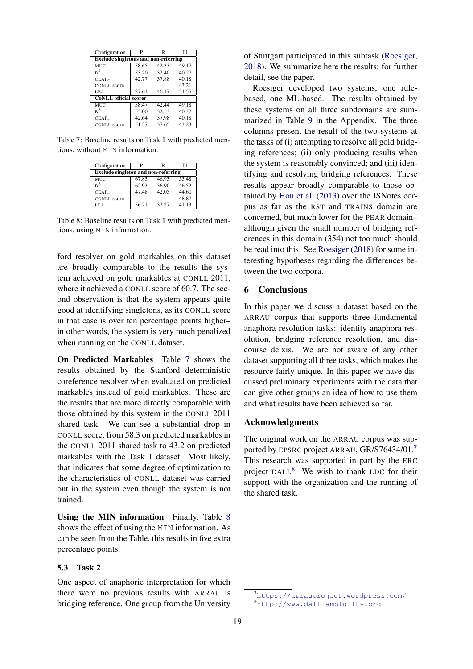| Configuration                               | P     | R                  | F1    |  |  |  |
|---------------------------------------------|-------|--------------------|-------|--|--|--|
| <b>Exclude singletons and non-referring</b> |       |                    |       |  |  |  |
| MUC                                         | 58.65 | 42.33              | 49.17 |  |  |  |
| $R^3$                                       | 53.20 | 32.40              | 40.27 |  |  |  |
| $CEAF_e$                                    | 42.77 | 37.88              | 40.18 |  |  |  |
| <b>CONLL</b> score                          |       |                    | 43.21 |  |  |  |
| LEA                                         | 27.61 | 46.17              | 34.55 |  |  |  |
| <b>CoNLL</b> official scorer                |       |                    |       |  |  |  |
| MUC.                                        | 58.47 | $\overline{42.44}$ | 49.18 |  |  |  |
| $R^3$                                       | 53.00 | 32.53              | 40.32 |  |  |  |
| $CEAF_e$                                    | 42.64 | 37.98              | 40.18 |  |  |  |
| <b>CONLL</b> score                          | 51.37 | 37.65              | 43.23 |  |  |  |

Table 7: Baseline results on Task 1 with predicted mentions, without MIN information.

| Configuration                              | P     | R     | F1    |  |  |  |
|--------------------------------------------|-------|-------|-------|--|--|--|
| <b>Exclude</b> singleton and non-referring |       |       |       |  |  |  |
| MUC                                        | 67.83 | 46.93 | 55.48 |  |  |  |
| $\mathbf{R}^3$                             | 62.93 | 36.90 | 46.52 |  |  |  |
| $CEAF_e$                                   | 47.48 | 42.05 | 44.60 |  |  |  |
| <b>CONLL</b> score                         |       |       | 48.87 |  |  |  |
| LEA                                        | 56.71 | 32.27 | 41.13 |  |  |  |

Table 8: Baseline results on Task 1 with predicted mentions, using MIN information.

ford resolver on gold markables on this dataset are broadly comparable to the results the system achieved on gold markables at CONLL 2011, where it achieved a CONLL score of 60.7. The second observation is that the system appears quite good at identifying singletons, as its CONLL score in that case is over ten percentage points higher– in other words, the system is very much penalized when running on the CONLL dataset.

On Predicted Markables Table 7 shows the results obtained by the Stanford deterministic coreference resolver when evaluated on predicted markables instead of gold markables. These are the results that are more directly comparable with those obtained by this system in the CONLL 2011 shared task. We can see a substantial drop in CONLL score, from 58.3 on predicted markables in the CONLL 2011 shared task to 43.2 on predicted markables with the Task 1 dataset. Most likely, that indicates that some degree of optimization to the characteristics of CONLL dataset was carried out in the system even though the system is not trained.

Using the MIN information Finally, Table 8 shows the effect of using the MIN information. As can be seen from the Table, this results in five extra percentage points.

## 5.3 Task 2

One aspect of anaphoric interpretation for which there were no previous results with ARRAU is bridging reference. One group from the University of Stuttgart participated in this subtask (Roesiger, 2018). We summarize here the results; for further detail, see the paper.

Roesiger developed two systems, one rulebased, one ML-based. The results obtained by these systems on all three subdomains are summarized in Table 9 in the Appendix. The three columns present the result of the two systems at the tasks of (i) attempting to resolve all gold bridging references; (ii) only producing results when the system is reasonably convinced; and (iii) identifying and resolving bridging references. These results appear broadly comparable to those obtained by Hou et al. (2013) over the ISNotes corpus as far as the RST and TRAINS domain are concerned, but much lower for the PEAR domain– although given the small number of bridging references in this domain (354) not too much should be read into this. See Roesiger (2018) for some interesting hypotheses regarding the differences between the two corpora.

## 6 Conclusions

In this paper we discuss a dataset based on the ARRAU corpus that supports three fundamental anaphora resolution tasks: identity anaphora resolution, bridging reference resolution, and discourse deixis. We are not aware of any other dataset supporting all three tasks, which makes the resource fairly unique. In this paper we have discussed preliminary experiments with the data that can give other groups an idea of how to use them and what results have been achieved so far.

## Acknowledgments

The original work on the ARRAU corpus was supported by EPSRC project ARRAU, GR/S76434/01.<sup>7</sup> This research was supported in part by the ERC project DALI.<sup>8</sup> We wish to thank LDC for their support with the organization and the running of the shared task.

<sup>7</sup>https://arrauproject.wordpress.com/ <sup>8</sup>http://www.dali-ambiguity.org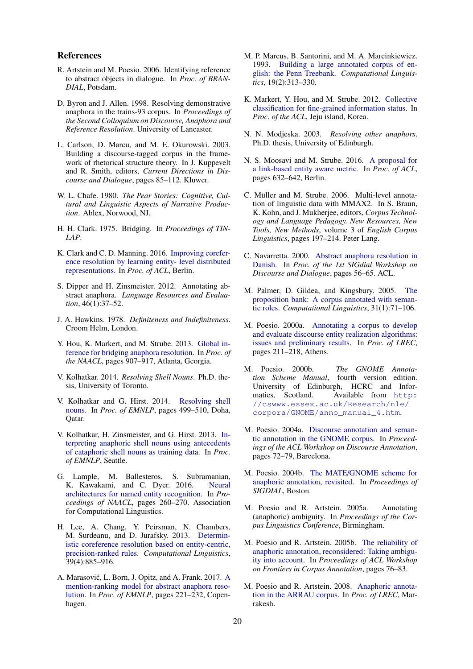#### References

- R. Artstein and M. Poesio. 2006. Identifying reference to abstract objects in dialogue. In *Proc. of BRAN-DIAL*, Potsdam.
- D. Byron and J. Allen. 1998. Resolving demonstrative anaphora in the trains-93 corpus. In *Proceedings of the Second Colloquium on Discourse, Anaphora and Reference Resolution*. University of Lancaster.
- L. Carlson, D. Marcu, and M. E. Okurowski. 2003. Building a discourse-tagged corpus in the framework of rhetorical structure theory. In J. Kuppevelt and R. Smith, editors, *Current Directions in Discourse and Dialogue*, pages 85–112. Kluwer.
- W. L. Chafe. 1980. *The Pear Stories: Cognitive, Cultural and Linguistic Aspects of Narrative Production*. Ablex, Norwood, NJ.
- H. H. Clark. 1975. Bridging. In *Proceedings of TIN-LAP*.
- K. Clark and C. D. Manning. 2016. Improving coreference resolution by learning entity- level distributed representations. In *Proc. of ACL*, Berlin.
- S. Dipper and H. Zinsmeister. 2012. Annotating abstract anaphora. *Language Resources and Evaluation*, 46(1):37–52.
- J. A. Hawkins. 1978. *Definiteness and Indefiniteness*. Croom Helm, London.
- Y. Hou, K. Markert, and M. Strube. 2013. Global inference for bridging anaphora resolution. In *Proc. of the NAACL*, pages 907–917, Atlanta, Georgia.
- V. Kolhatkar. 2014. *Resolving Shell Nouns*. Ph.D. thesis, University of Toronto.
- V. Kolhatkar and G. Hirst. 2014. Resolving shell nouns. In *Proc. of EMNLP*, pages 499–510, Doha, Qatar.
- V. Kolhatkar, H. Zinsmeister, and G. Hirst. 2013. Interpreting anaphoric shell nouns using antecedents of cataphoric shell nouns as training data. In *Proc. of EMNLP*, Seattle.
- G. Lample, M. Ballesteros, S. Subramanian, K. Kawakami, and C. Dyer. 2016. Neural architectures for named entity recognition. In *Proceedings of NAACL*, pages 260–270. Association for Computational Linguistics.
- H. Lee, A. Chang, Y. Peirsman, N. Chambers, M. Surdeanu, and D. Jurafsky. 2013. Deterministic coreference resolution based on entity-centric, precision-ranked rules. *Computational Linguistics*, 39(4):885–916.
- A. Marasović, L. Born, J. Opitz, and A. Frank. 2017. A mention-ranking model for abstract anaphora resolution. In *Proc. of EMNLP*, pages 221–232, Copenhagen.
- M. P. Marcus, B. Santorini, and M. A. Marcinkiewicz. 1993. Building a large annotated corpus of english: the Penn Treebank. *Computational Linguistics*, 19(2):313–330.
- K. Markert, Y. Hou, and M. Strube. 2012. Collective classification for fine-grained information status. In *Proc. of the ACL*, Jeju island, Korea.
- N. N. Modjeska. 2003. *Resolving other anaphors*. Ph.D. thesis, University of Edinburgh.
- N. S. Moosavi and M. Strube. 2016. A proposal for a link-based entity aware metric. In *Proc. of ACL*, pages 632–642, Berlin.
- C. Müller and M. Strube. 2006. Multi-level annotation of linguistic data with MMAX2. In S. Braun, K. Kohn, and J. Mukherjee, editors, *Corpus Technology and Language Pedagogy. New Resources, New Tools, New Methods*, volume 3 of *English Corpus Linguistics*, pages 197–214. Peter Lang.
- C. Navarretta. 2000. Abstract anaphora resolution in Danish. In *Proc. of the 1st SIGdial Workshop on Discourse and Dialogue*, pages 56–65. ACL.
- M. Palmer, D. Gildea, and Kingsbury. 2005. The proposition bank: A corpus annotated with semantic roles. *Computational Linguistics*, 31(1):71–106.
- M. Poesio. 2000a. Annotating a corpus to develop and evaluate discourse entity realization algorithms: issues and preliminary results. In *Proc. of LREC*, pages 211–218, Athens.
- M. Poesio. 2000b. *The GNOME Annotation Scheme Manual*, fourth version edition. University of Edinburgh, HCRC and Infor-Available from http: //cswww.essex.ac.uk/Research/nle/ corpora/GNOME/anno\_manual\_4.htm.
- M. Poesio. 2004a. Discourse annotation and semantic annotation in the GNOME corpus. In *Proceedings of the ACL Workshop on Discourse Annotation*, pages 72–79, Barcelona.
- M. Poesio. 2004b. The MATE/GNOME scheme for anaphoric annotation, revisited. In *Proceedings of SIGDIAL*, Boston.
- M. Poesio and R. Artstein. 2005a. Annotating (anaphoric) ambiguity. In *Proceedings of the Corpus Linguistics Conference*, Birmingham.
- M. Poesio and R. Artstein. 2005b. The reliability of anaphoric annotation, reconsidered: Taking ambiguity into account. In *Proceedings of ACL Workshop on Frontiers in Corpus Annotation*, pages 76–83.
- M. Poesio and R. Artstein. 2008. Anaphoric annotation in the ARRAU corpus. In *Proc. of LREC*, Marrakesh.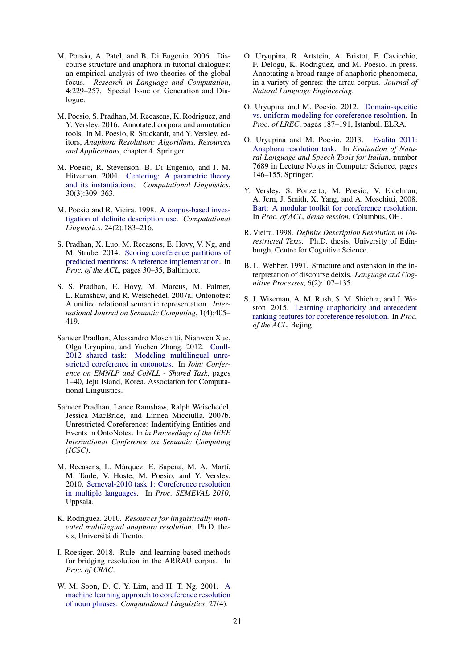- M. Poesio, A. Patel, and B. Di Eugenio. 2006. Discourse structure and anaphora in tutorial dialogues: an empirical analysis of two theories of the global focus. *Research in Language and Computation*, 4:229–257. Special Issue on Generation and Dialogue.
- M. Poesio, S. Pradhan, M. Recasens, K. Rodriguez, and Y. Versley. 2016. Annotated corpora and annotation tools. In M. Poesio, R. Stuckardt, and Y. Versley, editors, *Anaphora Resolution: Algorithms, Resources and Applications*, chapter 4. Springer.
- M. Poesio, R. Stevenson, B. Di Eugenio, and J. M. Hitzeman. 2004. Centering: A parametric theory and its instantiations. *Computational Linguistics*, 30(3):309–363.
- M. Poesio and R. Vieira. 1998. A corpus-based investigation of definite description use. *Computational Linguistics*, 24(2):183–216.
- S. Pradhan, X. Luo, M. Recasens, E. Hovy, V. Ng, and M. Strube. 2014. Scoring coreference partitions of predicted mentions: A reference implementation. In *Proc. of the ACL*, pages 30–35, Baltimore.
- S. S. Pradhan, E. Hovy, M. Marcus, M. Palmer, L. Ramshaw, and R. Weischedel. 2007a. Ontonotes: A unified relational semantic representation. *International Journal on Semantic Computing*, 1(4):405– 419.
- Sameer Pradhan, Alessandro Moschitti, Nianwen Xue, Olga Uryupina, and Yuchen Zhang. 2012. Conll-2012 shared task: Modeling multilingual unrestricted coreference in ontonotes. In *Joint Conference on EMNLP and CoNLL - Shared Task*, pages 1–40, Jeju Island, Korea. Association for Computational Linguistics.
- Sameer Pradhan, Lance Ramshaw, Ralph Weischedel, Jessica MacBride, and Linnea Micciulla. 2007b. Unrestricted Coreference: Indentifying Entities and Events in OntoNotes. In *in Proceedings of the IEEE International Conference on Semantic Computing (ICSC)*.
- M. Recasens, L. Màrquez, E. Sapena, M. A. Martí, M. Taulé, V. Hoste, M. Poesio, and Y. Versley. 2010. Semeval-2010 task 1: Coreference resolution in multiple languages. In *Proc. SEMEVAL 2010*, Uppsala.
- K. Rodriguez. 2010. *Resources for linguistically motivated multilingual anaphora resolution*. Ph.D. thesis, Universitá di Trento.
- I. Roesiger. 2018. Rule- and learning-based methods for bridging resolution in the ARRAU corpus. In *Proc. of CRAC*.
- W. M. Soon, D. C. Y. Lim, and H. T. Ng. 2001. A machine learning approach to coreference resolution of noun phrases. *Computational Linguistics*, 27(4).
- O. Uryupina, R. Artstein, A. Bristot, F. Cavicchio, F. Delogu, K. Rodriguez, and M. Poesio. In press. Annotating a broad range of anaphoric phenomena, in a variety of genres: the arrau corpus. *Journal of Natural Language Engineering*.
- O. Uryupina and M. Poesio. 2012. Domain-specific vs. uniform modeling for coreference resolution. In *Proc. of LREC*, pages 187–191, Istanbul. ELRA.
- O. Uryupina and M. Poesio. 2013. Evalita 2011: Anaphora resolution task. In *Evaluation of Natural Language and Speech Tools for Italian*, number 7689 in Lecture Notes in Computer Science, pages 146–155. Springer.
- Y. Versley, S. Ponzetto, M. Poesio, V. Eidelman, A. Jern, J. Smith, X. Yang, and A. Moschitti. 2008. Bart: A modular toolkit for coreference resolution. In *Proc. of ACL, demo session*, Columbus, OH.
- R. Vieira. 1998. *Definite Description Resolution in Unrestricted Texts*. Ph.D. thesis, University of Edinburgh, Centre for Cognitive Science.
- B. L. Webber. 1991. Structure and ostension in the interpretation of discourse deixis. *Language and Cognitive Processes*, 6(2):107–135.
- S. J. Wiseman, A. M. Rush, S. M. Shieber, and J. Weston. 2015. Learning anaphoricity and antecedent ranking features for coreference resolution. In *Proc. of the ACL*, Bejing.